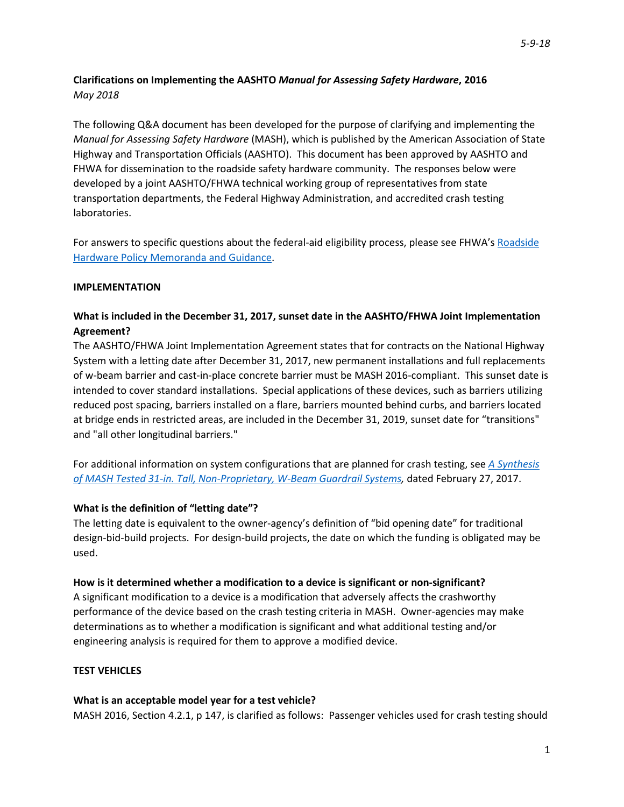# **Clarifications on Implementing the AASHTO** *Manual for Assessing Safety Hardware***, 2016** *May 2018*

The following Q&A document has been developed for the purpose of clarifying and implementing the *Manual for Assessing Safety Hardware* (MASH), which is published by the American Association of State Highway and Transportation Officials (AASHTO). This document has been approved by AASHTO and FHWA for dissemination to the roadside safety hardware community. The responses below were developed by a joint AASHTO/FHWA technical working group of representatives from state transportation departments, the Federal Highway Administration, and accredited crash testing laboratories.

For answers to specific questions about the federal-aid eligibility process, please see FHWA's [Roadside](https://safety.fhwa.dot.gov/roadway_dept/countermeasures/reduce_crash_severity/policy_memo_guidance.cfm)  [Hardware Policy Memoranda and Guidance.](https://safety.fhwa.dot.gov/roadway_dept/countermeasures/reduce_crash_severity/policy_memo_guidance.cfm)

### **IMPLEMENTATION**

# **What is included in the December 31, 2017, sunset date in the AASHTO/FHWA Joint Implementation Agreement?**

The AASHTO/FHWA Joint Implementation Agreement states that for contracts on the National Highway System with a letting date after December 31, 2017, new permanent installations and full replacements of w-beam barrier and cast-in-place concrete barrier must be MASH 2016-compliant. This sunset date is intended to cover standard installations. Special applications of these devices, such as barriers utilizing reduced post spacing, barriers installed on a flare, barriers mounted behind curbs, and barriers located at bridge ends in restricted areas, are included in the December 31, 2019, sunset date for "transitions" and "all other longitudinal barriers."

For additional information on system configurations that are planned for crash testing, see *[A Synthesis](https://mwrsf-qa.unl.edu/attachments/f1076f6ca498fddcad34467b4df05e2d.pdf)  [of MASH Tested 31-in. Tall, Non-Proprietary, W-Beam Guardrail Systems,](https://mwrsf-qa.unl.edu/attachments/f1076f6ca498fddcad34467b4df05e2d.pdf)* dated February 27, 2017.

### **What is the definition of "letting date"?**

The letting date is equivalent to the owner-agency's definition of "bid opening date" for traditional design-bid-build projects. For design-build projects, the date on which the funding is obligated may be used.

### **How is it determined whether a modification to a device is significant or non-significant?**

A significant modification to a device is a modification that adversely affects the crashworthy performance of the device based on the crash testing criteria in MASH. Owner-agencies may make determinations as to whether a modification is significant and what additional testing and/or engineering analysis is required for them to approve a modified device.

#### **TEST VEHICLES**

#### **What is an acceptable model year for a test vehicle?**

MASH 2016, Section 4.2.1, p 147, is clarified as follows: Passenger vehicles used for crash testing should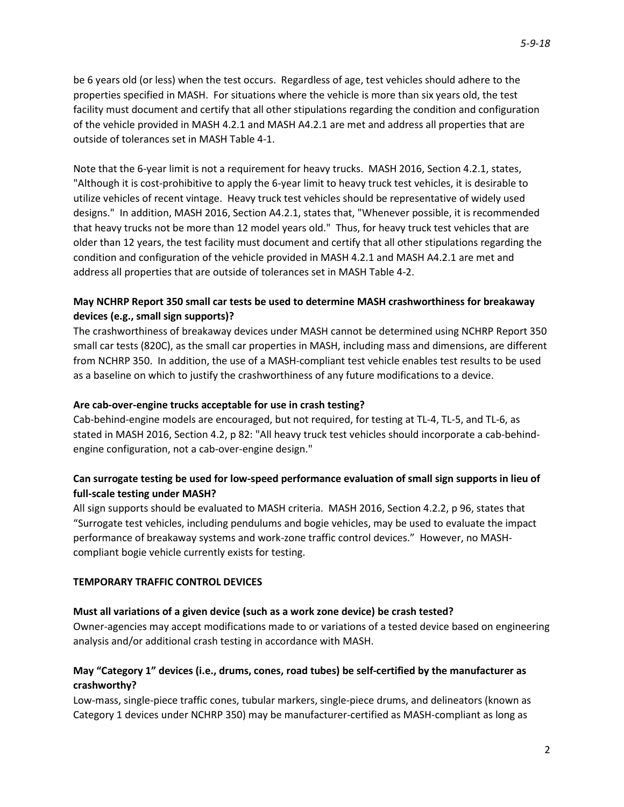be 6 years old (or less) when the test occurs. Regardless of age, test vehicles should adhere to the properties specified in MASH. For situations where the vehicle is more than six years old, the test facility must document and certify that all other stipulations regarding the condition and configuration of the vehicle provided in MASH 4.2.1 and MASH A4.2.1 are met and address all properties that are outside of tolerances set in MASH Table 4-1.

Note that the 6-year limit is not a requirement for heavy trucks. MASH 2016, Section 4.2.1, states, "Although it is cost-prohibitive to apply the 6-year limit to heavy truck test vehicles, it is desirable to utilize vehicles of recent vintage. Heavy truck test vehicles should be representative of widely used designs." In addition, MASH 2016, Section A4.2.1, states that, "Whenever possible, it is recommended that heavy trucks not be more than 12 model years old." Thus, for heavy truck test vehicles that are older than 12 years, the test facility must document and certify that all other stipulations regarding the condition and configuration of the vehicle provided in MASH 4.2.1 and MASH A4.2.1 are met and address all properties that are outside of tolerances set in MASH Table 4-2.

# **May NCHRP Report 350 small car tests be used to determine MASH crashworthiness for breakaway devices (e.g., small sign supports)?**

The crashworthiness of breakaway devices under MASH cannot be determined using NCHRP Report 350 small car tests (820C), as the small car properties in MASH, including mass and dimensions, are different from NCHRP 350. In addition, the use of a MASH-compliant test vehicle enables test results to be used as a baseline on which to justify the crashworthiness of any future modifications to a device.

### **Are cab-over-engine trucks acceptable for use in crash testing?**

Cab-behind-engine models are encouraged, but not required, for testing at TL-4, TL-5, and TL-6, as stated in MASH 2016, Section 4.2, p 82: "All heavy truck test vehicles should incorporate a cab-behindengine configuration, not a cab-over-engine design."

# **Can surrogate testing be used for low-speed performance evaluation of small sign supports in lieu of full-scale testing under MASH?**

All sign supports should be evaluated to MASH criteria. MASH 2016, Section 4.2.2, p 96, states that "Surrogate test vehicles, including pendulums and bogie vehicles, may be used to evaluate the impact performance of breakaway systems and work-zone traffic control devices." However, no MASHcompliant bogie vehicle currently exists for testing.

### **TEMPORARY TRAFFIC CONTROL DEVICES**

### **Must all variations of a given device (such as a work zone device) be crash tested?**

Owner-agencies may accept modifications made to or variations of a tested device based on engineering analysis and/or additional crash testing in accordance with MASH.

# **May "Category 1" devices (i.e., drums, cones, road tubes) be self-certified by the manufacturer as crashworthy?**

Low-mass, single-piece traffic cones, tubular markers, single-piece drums, and delineators (known as Category 1 devices under NCHRP 350) may be manufacturer-certified as MASH-compliant as long as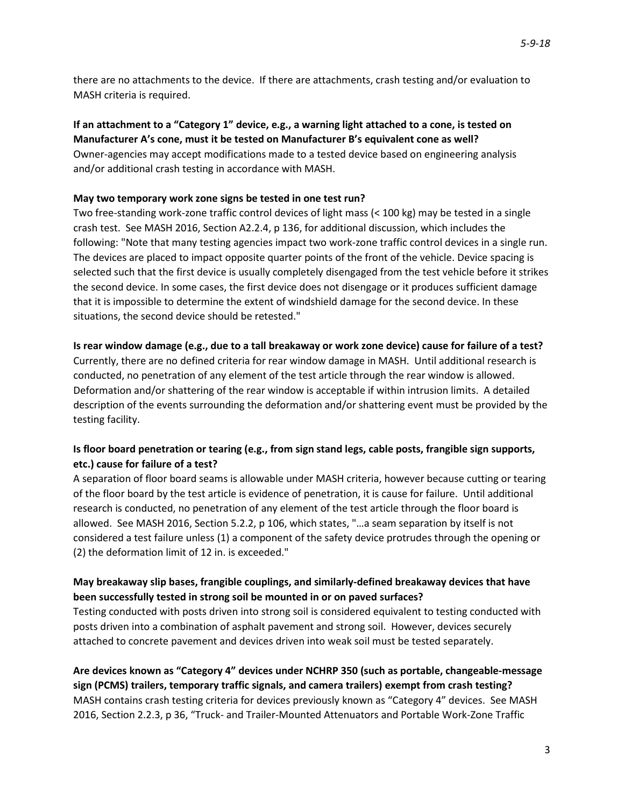there are no attachments to the device. If there are attachments, crash testing and/or evaluation to MASH criteria is required.

# **If an attachment to a "Category 1" device, e.g., a warning light attached to a cone, is tested on Manufacturer A's cone, must it be tested on Manufacturer B's equivalent cone as well?** Owner-agencies may accept modifications made to a tested device based on engineering analysis and/or additional crash testing in accordance with MASH.

### **May two temporary work zone signs be tested in one test run?**

Two free-standing work-zone traffic control devices of light mass (< 100 kg) may be tested in a single crash test. See MASH 2016, Section A2.2.4, p 136, for additional discussion, which includes the following: "Note that many testing agencies impact two work-zone traffic control devices in a single run. The devices are placed to impact opposite quarter points of the front of the vehicle. Device spacing is selected such that the first device is usually completely disengaged from the test vehicle before it strikes the second device. In some cases, the first device does not disengage or it produces sufficient damage that it is impossible to determine the extent of windshield damage for the second device. In these situations, the second device should be retested."

# **Is rear window damage (e.g., due to a tall breakaway or work zone device) cause for failure of a test?** Currently, there are no defined criteria for rear window damage in MASH. Until additional research is conducted, no penetration of any element of the test article through the rear window is allowed. Deformation and/or shattering of the rear window is acceptable if within intrusion limits. A detailed description of the events surrounding the deformation and/or shattering event must be provided by the testing facility.

# **Is floor board penetration or tearing (e.g., from sign stand legs, cable posts, frangible sign supports, etc.) cause for failure of a test?**

A separation of floor board seams is allowable under MASH criteria, however because cutting or tearing of the floor board by the test article is evidence of penetration, it is cause for failure. Until additional research is conducted, no penetration of any element of the test article through the floor board is allowed. See MASH 2016, Section 5.2.2, p 106, which states, "…a seam separation by itself is not considered a test failure unless (1) a component of the safety device protrudes through the opening or (2) the deformation limit of 12 in. is exceeded."

# **May breakaway slip bases, frangible couplings, and similarly-defined breakaway devices that have been successfully tested in strong soil be mounted in or on paved surfaces?**

Testing conducted with posts driven into strong soil is considered equivalent to testing conducted with posts driven into a combination of asphalt pavement and strong soil. However, devices securely attached to concrete pavement and devices driven into weak soil must be tested separately.

**Are devices known as "Category 4" devices under NCHRP 350 (such as portable, changeable-message sign (PCMS) trailers, temporary traffic signals, and camera trailers) exempt from crash testing?** MASH contains crash testing criteria for devices previously known as "Category 4" devices. See MASH 2016, Section 2.2.3, p 36, "Truck- and Trailer-Mounted Attenuators and Portable Work-Zone Traffic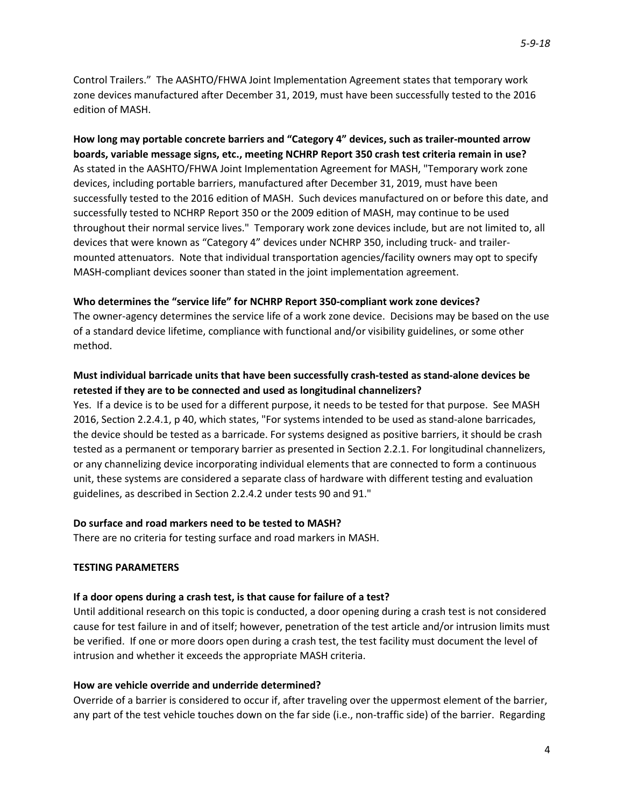Control Trailers." The AASHTO/FHWA Joint Implementation Agreement states that temporary work zone devices manufactured after December 31, 2019, must have been successfully tested to the 2016 edition of MASH.

**How long may portable concrete barriers and "Category 4" devices, such as trailer-mounted arrow boards, variable message signs, etc., meeting NCHRP Report 350 crash test criteria remain in use?**  As stated in the AASHTO/FHWA Joint Implementation Agreement for MASH, "Temporary work zone devices, including portable barriers, manufactured after December 31, 2019, must have been successfully tested to the 2016 edition of MASH. Such devices manufactured on or before this date, and successfully tested to NCHRP Report 350 or the 2009 edition of MASH, may continue to be used throughout their normal service lives." Temporary work zone devices include, but are not limited to, all devices that were known as "Category 4" devices under NCHRP 350, including truck- and trailermounted attenuators. Note that individual transportation agencies/facility owners may opt to specify MASH-compliant devices sooner than stated in the joint implementation agreement.

### **Who determines the "service life" for NCHRP Report 350-compliant work zone devices?**

The owner-agency determines the service life of a work zone device. Decisions may be based on the use of a standard device lifetime, compliance with functional and/or visibility guidelines, or some other method.

# **Must individual barricade units that have been successfully crash-tested as stand-alone devices be retested if they are to be connected and used as longitudinal channelizers?**

Yes. If a device is to be used for a different purpose, it needs to be tested for that purpose. See MASH 2016, Section 2.2.4.1, p 40, which states, "For systems intended to be used as stand-alone barricades, the device should be tested as a barricade. For systems designed as positive barriers, it should be crash tested as a permanent or temporary barrier as presented in Section 2.2.1. For longitudinal channelizers, or any channelizing device incorporating individual elements that are connected to form a continuous unit, these systems are considered a separate class of hardware with different testing and evaluation guidelines, as described in Section 2.2.4.2 under tests 90 and 91."

#### **Do surface and road markers need to be tested to MASH?**

There are no criteria for testing surface and road markers in MASH.

#### **TESTING PARAMETERS**

#### **If a door opens during a crash test, is that cause for failure of a test?**

Until additional research on this topic is conducted, a door opening during a crash test is not considered cause for test failure in and of itself; however, penetration of the test article and/or intrusion limits must be verified. If one or more doors open during a crash test, the test facility must document the level of intrusion and whether it exceeds the appropriate MASH criteria.

#### **How are vehicle override and underride determined?**

Override of a barrier is considered to occur if, after traveling over the uppermost element of the barrier, any part of the test vehicle touches down on the far side (i.e., non-traffic side) of the barrier. Regarding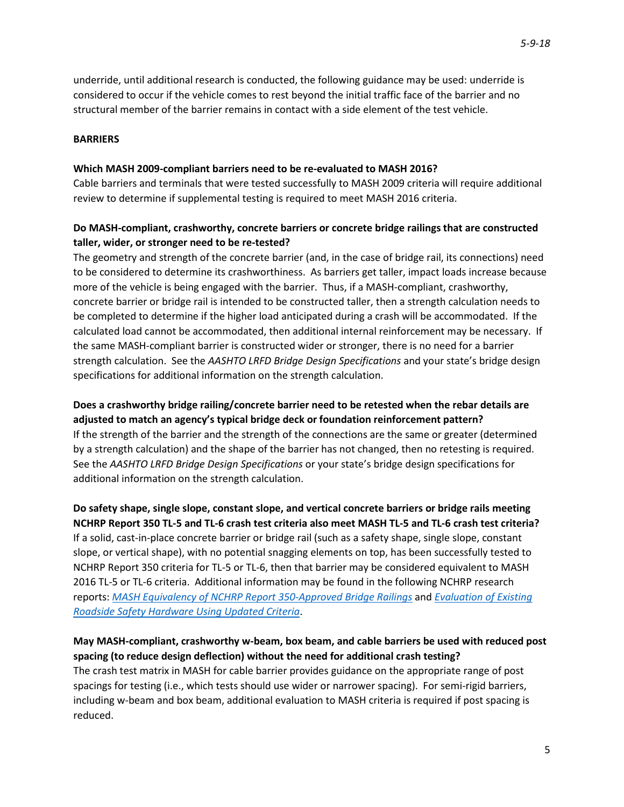underride, until additional research is conducted, the following guidance may be used: underride is considered to occur if the vehicle comes to rest beyond the initial traffic face of the barrier and no structural member of the barrier remains in contact with a side element of the test vehicle.

#### **BARRIERS**

#### **Which MASH 2009-compliant barriers need to be re-evaluated to MASH 2016?**

Cable barriers and terminals that were tested successfully to MASH 2009 criteria will require additional review to determine if supplemental testing is required to meet MASH 2016 criteria.

# **Do MASH-compliant, crashworthy, concrete barriers or concrete bridge railings that are constructed taller, wider, or stronger need to be re-tested?**

The geometry and strength of the concrete barrier (and, in the case of bridge rail, its connections) need to be considered to determine its crashworthiness. As barriers get taller, impact loads increase because more of the vehicle is being engaged with the barrier. Thus, if a MASH-compliant, crashworthy, concrete barrier or bridge rail is intended to be constructed taller, then a strength calculation needs to be completed to determine if the higher load anticipated during a crash will be accommodated. If the calculated load cannot be accommodated, then additional internal reinforcement may be necessary. If the same MASH-compliant barrier is constructed wider or stronger, there is no need for a barrier strength calculation. See the *AASHTO LRFD Bridge Design Specifications* and your state's bridge design specifications for additional information on the strength calculation.

**Does a crashworthy bridge railing/concrete barrier need to be retested when the rebar details are adjusted to match an agency's typical bridge deck or foundation reinforcement pattern?** If the strength of the barrier and the strength of the connections are the same or greater (determined by a strength calculation) and the shape of the barrier has not changed, then no retesting is required. See the *AASHTO LRFD Bridge Design Specifications* or your state's bridge design specifications for additional information on the strength calculation.

**Do safety shape, single slope, constant slope, and vertical concrete barriers or bridge rails meeting NCHRP Report 350 TL-5 and TL-6 crash test criteria also meet MASH TL-5 and TL-6 crash test criteria?**  If a solid, cast-in-place concrete barrier or bridge rail (such as a safety shape, single slope, constant slope, or vertical shape), with no potential snagging elements on top, has been successfully tested to NCHRP Report 350 criteria for TL-5 or TL-6, then that barrier may be considered equivalent to MASH 2016 TL-5 or TL-6 criteria. Additional information may be found in the following NCHRP research reports: *[MASH Equivalency of NCHRP Report 350-Approved Bridge Railings](http://apps.trb.org/cmsfeed/TRBNetProjectDisplay.asp?ProjectID=4214)* and *[Evaluation of Existing](http://www.trb.org/Publications/Blurbs/163969.aspx)  [Roadside Safety Hardware Using Updated Criteria](http://www.trb.org/Publications/Blurbs/163969.aspx)*.

# **May MASH-compliant, crashworthy w-beam, box beam, and cable barriers be used with reduced post spacing (to reduce design deflection) without the need for additional crash testing?**

The crash test matrix in MASH for cable barrier provides guidance on the appropriate range of post spacings for testing (i.e., which tests should use wider or narrower spacing). For semi-rigid barriers, including w-beam and box beam, additional evaluation to MASH criteria is required if post spacing is reduced.